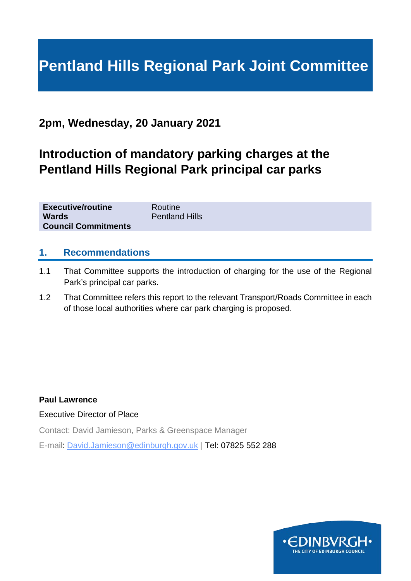# **Pentland Hills Regional Park Joint Committee**

# **2pm, Wednesday, 20 January 2021**

# **Introduction of mandatory parking charges at the Pentland Hills Regional Park principal car parks**

| <b>Executive/routine</b>   | Routine               |
|----------------------------|-----------------------|
| <b>Wards</b>               | <b>Pentland Hills</b> |
| <b>Council Commitments</b> |                       |

## **1. Recommendations**

- 1.1 That Committee supports the introduction of charging for the use of the Regional Park's principal car parks.
- 1.2 That Committee refers this report to the relevant Transport/Roads Committee in each of those local authorities where car park charging is proposed.

#### **Paul Lawrence**

#### Executive Director of Place

Contact: David Jamieson, Parks & Greenspace Manager

E-mail: David.Jamieson@edinburgh.gov.uk | Tel: 07825 552 288

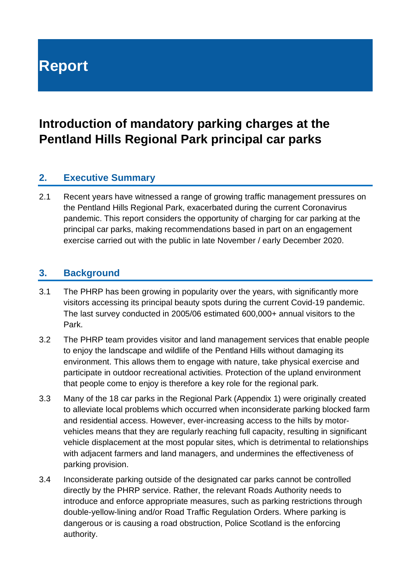# **Report**

# **Introduction of mandatory parking charges at the Pentland Hills Regional Park principal car parks**

# **2. Executive Summary**

2.1 Recent years have witnessed a range of growing traffic management pressures on the Pentland Hills Regional Park, exacerbated during the current Coronavirus pandemic. This report considers the opportunity of charging for car parking at the principal car parks, making recommendations based in part on an engagement exercise carried out with the public in late November / early December 2020.

## **3. Background**

- 3.1 The PHRP has been growing in popularity over the years, with significantly more visitors accessing its principal beauty spots during the current Covid-19 pandemic. The last survey conducted in 2005/06 estimated 600,000+ annual visitors to the Park.
- 3.2 The PHRP team provides visitor and land management services that enable people to enjoy the landscape and wildlife of the Pentland Hills without damaging its environment. This allows them to engage with nature, take physical exercise and participate in outdoor recreational activities. Protection of the upland environment that people come to enjoy is therefore a key role for the regional park.
- 3.3 Many of the 18 car parks in the Regional Park (Appendix 1) were originally created to alleviate local problems which occurred when inconsiderate parking blocked farm and residential access. However, ever-increasing access to the hills by motorvehicles means that they are regularly reaching full capacity, resulting in significant vehicle displacement at the most popular sites, which is detrimental to relationships with adjacent farmers and land managers, and undermines the effectiveness of parking provision.
- 3.4 Inconsiderate parking outside of the designated car parks cannot be controlled directly by the PHRP service. Rather, the relevant Roads Authority needs to introduce and enforce appropriate measures, such as parking restrictions through double-yellow-lining and/or Road Traffic Regulation Orders. Where parking is dangerous or is causing a road obstruction, Police Scotland is the enforcing authority.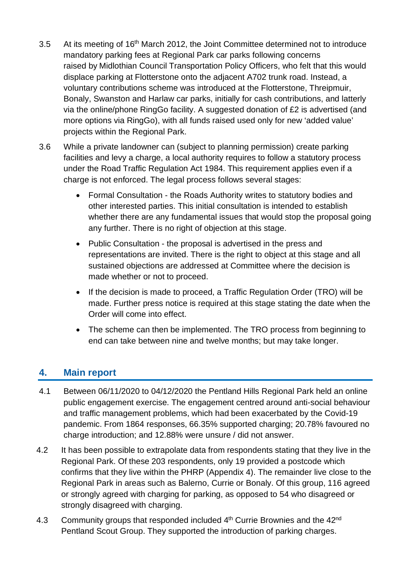- 3.5 At its meeting of 16<sup>th</sup> March 2012, the Joint Committee determined not to introduce mandatory parking fees at Regional Park car parks following concerns raised by Midlothian Council Transportation Policy Officers, who felt that this would displace parking at Flotterstone onto the adjacent A702 trunk road. Instead, a voluntary contributions scheme was introduced at the Flotterstone, Threipmuir, Bonaly, Swanston and Harlaw car parks, initially for cash contributions, and latterly via the online/phone RingGo facility. A suggested donation of £2 is advertised (and more options via RingGo), with all funds raised used only for new 'added value' projects within the Regional Park.
- 3.6 While a private landowner can (subject to planning permission) create parking facilities and levy a charge, a local authority requires to follow a statutory process under the Road Traffic Regulation Act 1984. This requirement applies even if a charge is not enforced. The legal process follows several stages:
	- Formal Consultation the Roads Authority writes to statutory bodies and other interested parties. This initial consultation is intended to establish whether there are any fundamental issues that would stop the proposal going any further. There is no right of objection at this stage.
	- Public Consultation the proposal is advertised in the press and representations are invited. There is the right to object at this stage and all sustained objections are addressed at Committee where the decision is made whether or not to proceed.
	- If the decision is made to proceed, a Traffic Regulation Order (TRO) will be made. Further press notice is required at this stage stating the date when the Order will come into effect.
	- The scheme can then be implemented. The TRO process from beginning to end can take between nine and twelve months; but may take longer.

# **4. Main report**

- 4.1 Between 06/11/2020 to 04/12/2020 the Pentland Hills Regional Park held an online public engagement exercise. The engagement centred around anti-social behaviour and traffic management problems, which had been exacerbated by the Covid-19 pandemic. From 1864 responses, 66.35% supported charging; 20.78% favoured no charge introduction; and 12.88% were unsure / did not answer.
- 4.2 It has been possible to extrapolate data from respondents stating that they live in the Regional Park. Of these 203 respondents, only 19 provided a postcode which confirms that they live within the PHRP (Appendix 4). The remainder live close to the Regional Park in areas such as Balerno, Currie or Bonaly. Of this group, 116 agreed or strongly agreed with charging for parking, as opposed to 54 who disagreed or strongly disagreed with charging.
- 4.3 Community groups that responded included 4<sup>th</sup> Currie Brownies and the 42<sup>nd</sup> Pentland Scout Group. They supported the introduction of parking charges.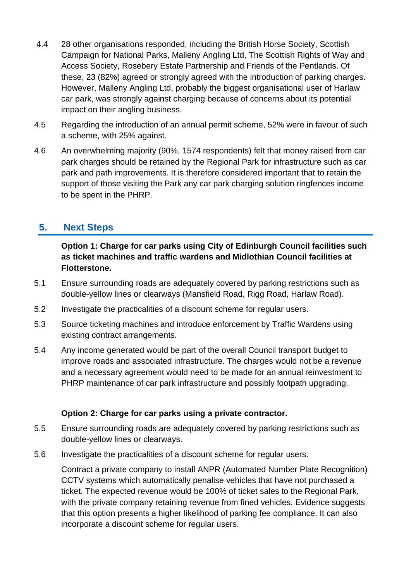- 4.4 28 other organisations responded, including the British Horse Society, Scottish Campaign for National Parks, Malleny Angling Ltd, The Scottish Rights of Way and Access Society, Rosebery Estate Partnership and Friends of the Pentlands. Of these, 23 (82%) agreed or strongly agreed with the introduction of parking charges. However, Malleny Angling Ltd, probably the biggest organisational user of Harlaw car park, was strongly against charging because of concerns about its potential impact on their angling business.
- 4.5 Regarding the introduction of an annual permit scheme, 52% were in favour of such a scheme, with 25% against.
- 4.6 An overwhelming majority (90%, 1574 respondents) felt that money raised from car park charges should be retained by the Regional Park for infrastructure such as car park and path improvements. It is therefore considered important that to retain the support of those visiting the Park any car park charging solution ringfences income to be spent in the PHRP.

# **5. Next Steps**

**Option 1: Charge for car parks using City of Edinburgh Council facilities such as ticket machines and traffic wardens and Midlothian Council facilities at Flotterstone.**

- 5.1 Ensure surrounding roads are adequately covered by parking restrictions such as double-yellow lines or clearways (Mansfield Road, Rigg Road, Harlaw Road).
- 5.2 Investigate the practicalities of a discount scheme for regular users.
- 5.3 Source ticketing machines and introduce enforcement by Traffic Wardens using existing contract arrangements.
- 5.4 Any income generated would be part of the overall Council transport budget to improve roads and associated infrastructure. The charges would not be a revenue and a necessary agreement would need to be made for an annual reinvestment to PHRP maintenance of car park infrastructure and possibly footpath upgrading.

## **Option 2: Charge for car parks using a private contractor.**

- 5.5 Ensure surrounding roads are adequately covered by parking restrictions such as double-yellow lines or clearways.
- 5.6 Investigate the practicalities of a discount scheme for regular users.

Contract a private company to install ANPR (Automated Number Plate Recognition) CCTV systems which automatically penalise vehicles that have not purchased a ticket. The expected revenue would be 100% of ticket sales to the Regional Park, with the private company retaining revenue from fined vehicles. Evidence suggests that this option presents a higher likelihood of parking fee compliance. It can also incorporate a discount scheme for regular users.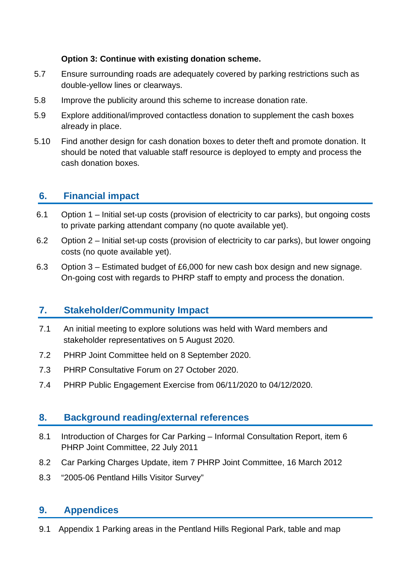## **Option 3: Continue with existing donation scheme.**

- 5.7 Ensure surrounding roads are adequately covered by parking restrictions such as double-yellow lines or clearways.
- 5.8 Improve the publicity around this scheme to increase donation rate.
- 5.9 Explore additional/improved contactless donation to supplement the cash boxes already in place.
- 5.10 Find another design for cash donation boxes to deter theft and promote donation. It should be noted that valuable staff resource is deployed to empty and process the cash donation boxes.

# **6. Financial impact**

- 6.1 Option 1 Initial set-up costs (provision of electricity to car parks), but ongoing costs to private parking attendant company (no quote available yet).
- 6.2 Option 2 Initial set-up costs (provision of electricity to car parks), but lower ongoing costs (no quote available yet).
- 6.3 Option 3 Estimated budget of £6,000 for new cash box design and new signage. On-going cost with regards to PHRP staff to empty and process the donation.

# **7. Stakeholder/Community Impact**

- 7.1 An initial meeting to explore solutions was held with Ward members and stakeholder representatives on 5 August 2020.
- 7.2 PHRP Joint Committee held on 8 September 2020.
- 7.3 PHRP Consultative Forum on 27 October 2020.
- 7.4 PHRP Public Engagement Exercise from 06/11/2020 to 04/12/2020.

# **8. Background reading/external references**

- 8.1 Introduction of Charges for Car Parking Informal Consultation Report, item 6 PHRP Joint Committee, 22 July 2011
- 8.2 Car Parking Charges Update, item 7 PHRP Joint Committee, 16 March 2012
- 8.3 "2005-06 Pentland Hills Visitor Survey"

# **9. Appendices**

9.1 Appendix 1 Parking areas in the Pentland Hills Regional Park, table and map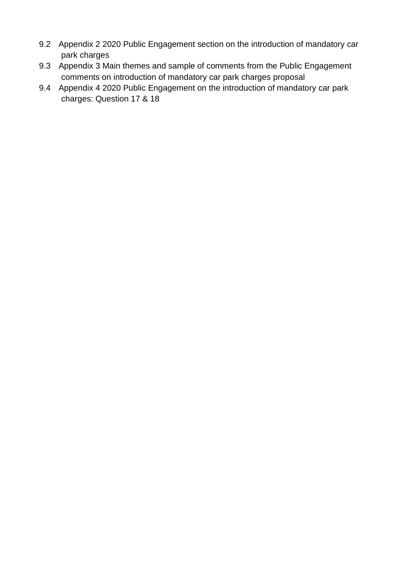- 9.2 Appendix 2 2020 Public Engagement section on the introduction of mandatory car park charges
- 9.3 Appendix 3 Main themes and sample of comments from the Public Engagement comments on introduction of mandatory car park charges proposal
- 9.4 Appendix 4 2020 Public Engagement on the introduction of mandatory car park charges: Question 17 & 18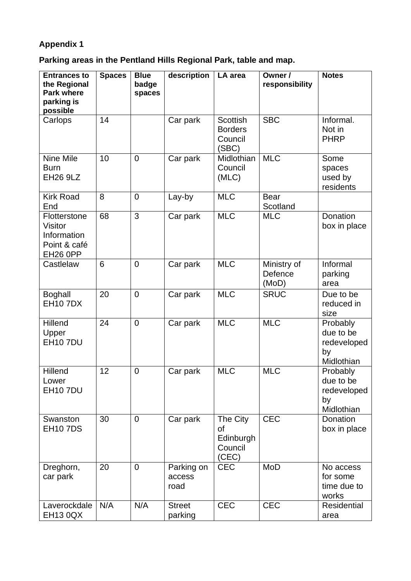# **Appendix 1**

**Parking areas in the Pentland Hills Regional Park, table and map.**

| <b>Entrances to</b><br>the Regional<br><b>Park where</b><br>parking is<br>possible    | <b>Spaces</b> | <b>Blue</b><br>badge<br>spaces | description                  | LA area                                               | Owner /<br>responsibility       | <b>Notes</b>                                             |
|---------------------------------------------------------------------------------------|---------------|--------------------------------|------------------------------|-------------------------------------------------------|---------------------------------|----------------------------------------------------------|
| Carlops                                                                               | 14            |                                | Car park                     | <b>Scottish</b><br><b>Borders</b><br>Council<br>(SBC) | <b>SBC</b>                      | Informal.<br>Not in<br><b>PHRP</b>                       |
| Nine Mile<br><b>Burn</b><br><b>EH26 9LZ</b>                                           | 10            | $\overline{0}$                 | Car park                     | Midlothian<br>Council<br>(MLC)                        | <b>MLC</b>                      | Some<br>spaces<br>used by<br>residents                   |
| <b>Kirk Road</b><br>End                                                               | 8             | $\overline{0}$                 | Lay-by                       | <b>MLC</b>                                            | <b>Bear</b><br>Scotland         |                                                          |
| Flotterstone<br><b>Visitor</b><br>Information<br>Point & café<br>EH <sub>26</sub> OPP | 68            | 3                              | Car park                     | <b>MLC</b>                                            | <b>MLC</b>                      | Donation<br>box in place                                 |
| Castlelaw                                                                             | 6             | $\overline{0}$                 | Car park                     | <b>MLC</b>                                            | Ministry of<br>Defence<br>(MoD) | Informal<br>parking<br>area                              |
| <b>Boghall</b><br><b>EH107DX</b>                                                      | 20            | $\mathbf 0$                    | Car park                     | <b>MLC</b>                                            | <b>SRUC</b>                     | Due to be<br>reduced in<br>size                          |
| Hillend<br>Upper<br><b>EH10 7DU</b>                                                   | 24            | $\mathbf 0$                    | Car park                     | <b>MLC</b>                                            | <b>MLC</b>                      | Probably<br>due to be<br>redeveloped<br>by<br>Midlothian |
| Hillend<br>Lower<br><b>EH10 7DU</b>                                                   | 12            | $\mathbf 0$                    | Car park                     | <b>MLC</b>                                            | <b>MLC</b>                      | Probably<br>due to be<br>redeveloped<br>by<br>Midlothian |
| Swanston<br><b>EH107DS</b>                                                            | 30            | $\mathbf 0$                    | Car park                     | The City<br>of<br>Edinburgh<br>Council<br>(CEC)       | <b>CEC</b>                      | Donation<br>box in place                                 |
| Dreghorn,<br>car park                                                                 | 20            | $\overline{0}$                 | Parking on<br>access<br>road | <b>CEC</b>                                            | MoD                             | No access<br>for some<br>time due to<br>works            |
| Laverockdale<br><b>EH13 0QX</b>                                                       | N/A           | N/A                            | <b>Street</b><br>parking     | <b>CEC</b>                                            | <b>CEC</b>                      | Residential<br>area                                      |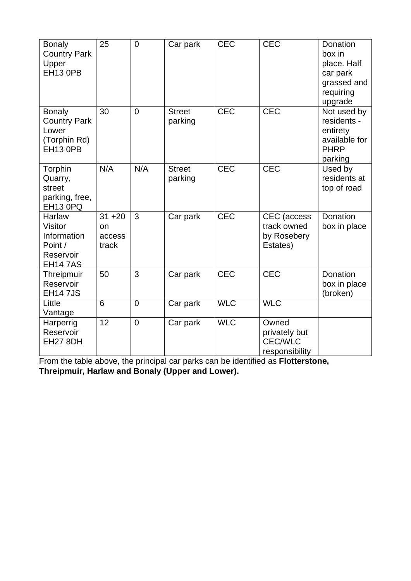| <b>Bonaly</b><br><b>Country Park</b><br>Upper<br><b>EH13 0PB</b>                  | 25                                 | $\mathbf 0$    | Car park                 | <b>CEC</b> | <b>CEC</b>                                                 | Donation<br>box in<br>place. Half<br>car park<br>grassed and<br>requiring<br>upgrade |
|-----------------------------------------------------------------------------------|------------------------------------|----------------|--------------------------|------------|------------------------------------------------------------|--------------------------------------------------------------------------------------|
| <b>Bonaly</b><br><b>Country Park</b><br>Lower<br>(Torphin Rd)<br><b>EH13 0PB</b>  | 30                                 | $\overline{0}$ | <b>Street</b><br>parking | <b>CEC</b> | <b>CEC</b>                                                 | Not used by<br>residents -<br>entirety<br>available for<br><b>PHRP</b><br>parking    |
| Torphin<br>Quarry,<br>street<br>parking, free,<br>EH13 0PQ                        | N/A                                | N/A            | <b>Street</b><br>parking | <b>CEC</b> | <b>CEC</b>                                                 | Used by<br>residents at<br>top of road                                               |
| Harlaw<br><b>Visitor</b><br>Information<br>Point /<br>Reservoir<br><b>EH147AS</b> | $31 + 20$<br>on<br>access<br>track | 3              | Car park                 | <b>CEC</b> | CEC (access<br>track owned<br>by Rosebery<br>Estates)      | Donation<br>box in place                                                             |
| Threipmuir<br>Reservoir<br><b>EH14 7JS</b>                                        | 50                                 | 3              | Car park                 | <b>CEC</b> | <b>CEC</b>                                                 | <b>Donation</b><br>box in place<br>(broken)                                          |
| Little<br>Vantage                                                                 | 6                                  | $\overline{0}$ | Car park                 | <b>WLC</b> | <b>WLC</b>                                                 |                                                                                      |
| Harperrig<br>Reservoir<br>EH27 8DH                                                | 12                                 | $\overline{0}$ | Car park                 | <b>WLC</b> | Owned<br>privately but<br><b>CEC/WLC</b><br>responsibility |                                                                                      |

From the table above, the principal car parks can be identified as **Flotterstone, Threipmuir, Harlaw and Bonaly (Upper and Lower).**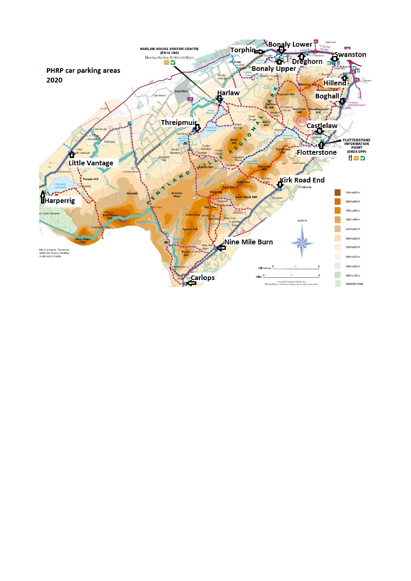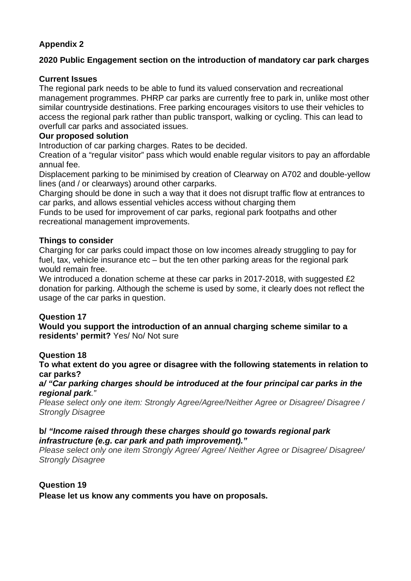## **Appendix 2**

## **2020 Public Engagement section on the introduction of mandatory car park charges**

### **Current Issues**

The regional park needs to be able to fund its valued conservation and recreational management programmes. PHRP car parks are currently free to park in, unlike most other similar countryside destinations. Free parking encourages visitors to use their vehicles to access the regional park rather than public transport, walking or cycling. This can lead to overfull car parks and associated issues.

### **Our proposed solution**

Introduction of car parking charges. Rates to be decided.

Creation of a "regular visitor" pass which would enable regular visitors to pay an affordable annual fee.

Displacement parking to be minimised by creation of Clearway on A702 and double-yellow lines (and / or clearways) around other carparks.

Charging should be done in such a way that it does not disrupt traffic flow at entrances to car parks, and allows essential vehicles access without charging them

Funds to be used for improvement of car parks, regional park footpaths and other recreational management improvements.

#### **Things to consider**

Charging for car parks could impact those on low incomes already struggling to pay for fuel, tax, vehicle insurance etc – but the ten other parking areas for the regional park would remain free.

We introduced a donation scheme at these car parks in 2017-2018, with suggested £2 donation for parking. Although the scheme is used by some, it clearly does not reflect the usage of the car parks in question.

## **Question 17**

**Would you support the introduction of an annual charging scheme similar to a residents' permit?** Yes/ No/ Not sure

#### **Question 18**

**To what extent do you agree or disagree with the following statements in relation to car parks?**

*a/ "Car parking charges should be introduced at the four principal car parks in the regional park."*

*Please select only one item: Strongly Agree/Agree/Neither Agree or Disagree/ Disagree / Strongly Disagree*

#### **b/** *"Income raised through these charges should go towards regional park infrastructure (e.g. car park and path improvement)."*

*Please select only one item Strongly Agree/ Agree/ Neither Agree or Disagree/ Disagree/ Strongly Disagree*

#### **Question 19**

**Please let us know any comments you have on proposals.**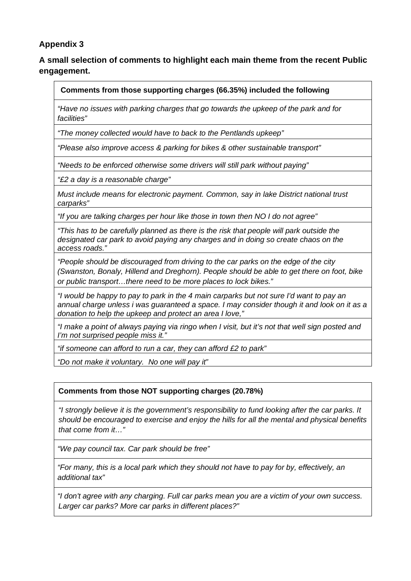## **Appendix 3**

## **A small selection of comments to highlight each main theme from the recent Public engagement.**

#### **Comments from those supporting charges (66.35%) included the following**

*"Have no issues with parking charges that go towards the upkeep of the park and for facilities"*

*"The money collected would have to back to the Pentlands upkeep"*

*"Please also improve access & parking for bikes & other sustainable transport"*

*"Needs to be enforced otherwise some drivers will still park without paying"*

*"£2 a day is a reasonable charge"*

*Must include means for electronic payment. Common, say in lake District national trust carparks"*

*"If you are talking charges per hour like those in town then NO I do not agree"*

*"This has to be carefully planned as there is the risk that people will park outside the designated car park to avoid paying any charges and in doing so create chaos on the access roads."* 

*"People should be discouraged from driving to the car parks on the edge of the city (Swanston, Bonaly, Hillend and Dreghorn). People should be able to get there on foot, bike or public transport…there need to be more places to lock bikes."*

*"I would be happy to pay to park in the 4 main carparks but not sure I'd want to pay an annual charge unless i was guaranteed a space. I may consider though it and look on it as a donation to help the upkeep and protect an area I love,"* 

*"I make a point of always paying via ringo when I visit, but it's not that well sign posted and I'm not surprised people miss it."*

*"if someone can afford to run a car, they can afford £2 to park"* 

*"Do not make it voluntary. No one will pay it"*

#### **Comments from those NOT supporting charges (20.78%)**

*"I strongly believe it is the government's responsibility to fund looking after the car parks. It should be encouraged to exercise and enjoy the hills for all the mental and physical benefits that come from it…"*

*"We pay council tax. Car park should be free"* 

*"For many, this is a local park which they should not have to pay for by, effectively, an additional tax"*

*"I don't agree with any charging. Full car parks mean you are a victim of your own success. Larger car parks? More car parks in different places?"*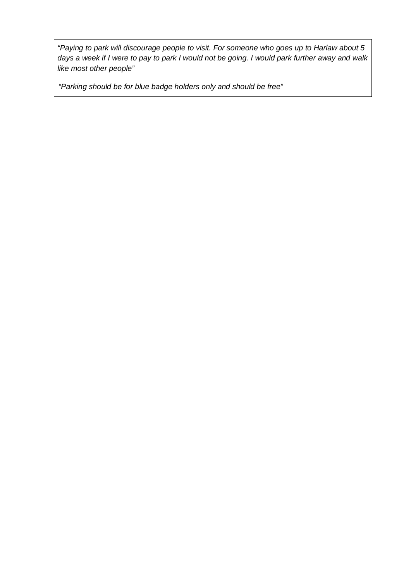*"Paying to park will discourage people to visit. For someone who goes up to Harlaw about 5 days a week if I were to pay to park I would not be going. I would park further away and walk like most other people"*

*"Parking should be for blue badge holders only and should be free"*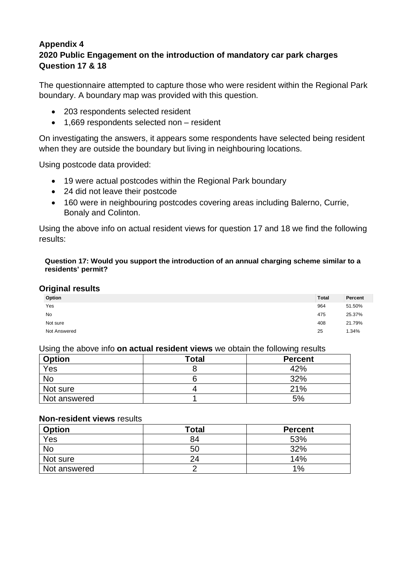## **Appendix 4 2020 Public Engagement on the introduction of mandatory car park charges Question 17 & 18**

The questionnaire attempted to capture those who were resident within the Regional Park boundary. A boundary map was provided with this question.

- 203 respondents selected resident
- 1,669 respondents selected non resident

On investigating the answers, it appears some respondents have selected being resident when they are outside the boundary but living in neighbouring locations.

Using postcode data provided:

- 19 were actual postcodes within the Regional Park boundary
- 24 did not leave their postcode
- 160 were in neighbouring postcodes covering areas including Balerno, Currie, Bonaly and Colinton.

Using the above info on actual resident views for question 17 and 18 we find the following results:

#### **Question 17: Would you support the introduction of an annual charging scheme similar to a residents' permit?**

#### **Original results**

| -            |              |         |
|--------------|--------------|---------|
| Option       | <b>Total</b> | Percent |
| Yes          | 964          | 51.50%  |
| No           | 475          | 25.37%  |
| Not sure     | 408          | 21.79%  |
| Not Answered | 25           | 1.34%   |

#### Using the above info **on actual resident views** we obtain the following results

| <b>Option</b> | <b>Total</b> | <b>Percent</b> |
|---------------|--------------|----------------|
| Yes           |              | 42%            |
| <b>No</b>     |              | 32%            |
| Not sure      |              | 21%            |
| Not answered  |              | 5%             |

#### **Non-resident views** results

| <b>Option</b> | Total | <b>Percent</b> |
|---------------|-------|----------------|
| Yes           | 84    | 53%            |
| No            | 50    | 32%            |
| Not sure      | 24    | 14%            |
| Not answered  |       | 1%             |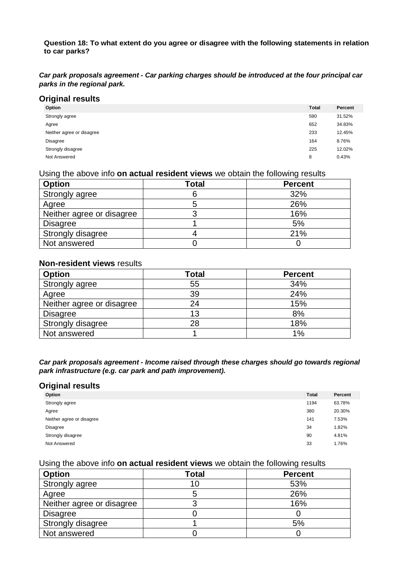**Question 18: To what extent do you agree or disagree with the following statements in relation to car parks?**

*Car park proposals agreement - Car parking charges should be introduced at the four principal car parks in the regional park.*

#### **Original results**

| -                         |              |         |
|---------------------------|--------------|---------|
| Option                    | <b>Total</b> | Percent |
| Strongly agree            | 590          | 31.52%  |
| Agree                     | 652          | 34.83%  |
| Neither agree or disagree | 233          | 12.45%  |
| <b>Disagree</b>           | 164          | 8.76%   |
| Strongly disagree         | 225          | 12.02%  |
| Not Answered              | 8            | 0.43%   |
|                           |              |         |

#### Using the above info **on actual resident views** we obtain the following results

| <b>Option</b>             | Total | <b>Percent</b> |
|---------------------------|-------|----------------|
| Strongly agree            |       | 32%            |
| Agree                     |       | 26%            |
| Neither agree or disagree |       | 16%            |
| <b>Disagree</b>           |       | 5%             |
| Strongly disagree         |       | 21%            |
| Not answered              |       |                |

#### **Non-resident views** results

| <b>Option</b>             | <b>Total</b> | <b>Percent</b> |
|---------------------------|--------------|----------------|
| Strongly agree            | 55           | 34%            |
| Agree                     | 39           | 24%            |
| Neither agree or disagree | 24           | 15%            |
| <b>Disagree</b>           |              | 8%             |
| Strongly disagree         | 28           | 18%            |
| Not answered              |              | 1%             |

*Car park proposals agreement - Income raised through these charges should go towards regional park infrastructure (e.g. car park and path improvement).*

#### **Original results**

| Option                    | <b>Total</b> | Percent |
|---------------------------|--------------|---------|
| Strongly agree            | 1194         | 63.78%  |
| Agree                     | 380          | 20.30%  |
| Neither agree or disagree | 141          | 7.53%   |
| Disagree                  | 34           | 1.82%   |
| Strongly disagree         | 90           | 4.81%   |
| Not Answered              | 33           | 1.76%   |

#### Using the above info **on actual resident views** we obtain the following results

| <b>Option</b>             | <b>Total</b> | <b>Percent</b> |
|---------------------------|--------------|----------------|
| Strongly agree            | ГU           | 53%            |
| Agree                     |              | 26%            |
| Neither agree or disagree |              | 16%            |
| <b>Disagree</b>           |              |                |
| Strongly disagree         |              | 5%             |
| Not answered              |              |                |